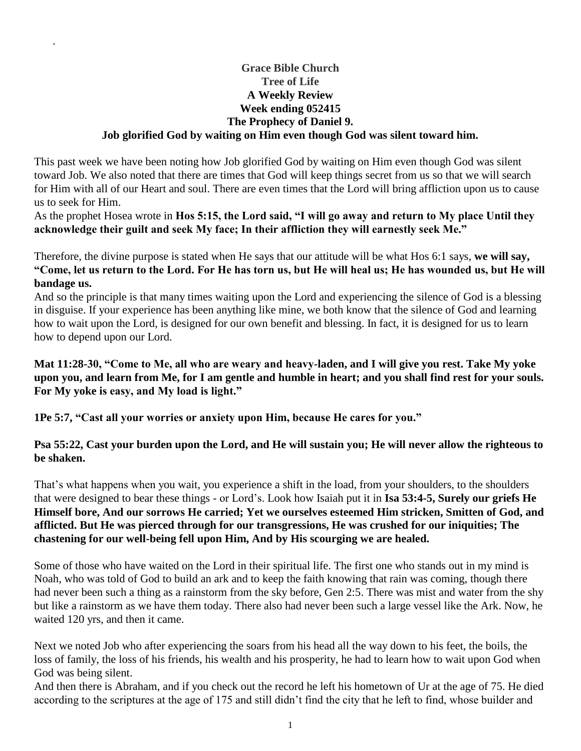#### **Grace Bible Church Tree of Life A Weekly Review Week ending 052415 The Prophecy of Daniel 9. Job glorified God by waiting on Him even though God was silent toward him.**

.

This past week we have been noting how Job glorified God by waiting on Him even though God was silent toward Job. We also noted that there are times that God will keep things secret from us so that we will search for Him with all of our Heart and soul. There are even times that the Lord will bring affliction upon us to cause us to seek for Him.

As the prophet Hosea wrote in **Hos 5:15, the Lord said, "I will go away and return to My place Until they acknowledge their guilt and seek My face; In their affliction they will earnestly seek Me."**

Therefore, the divine purpose is stated when He says that our attitude will be what Hos 6:1 says, **we will say, "Come, let us return to the Lord. For He has torn us, but He will heal us; He has wounded us, but He will bandage us.**

And so the principle is that many times waiting upon the Lord and experiencing the silence of God is a blessing in disguise. If your experience has been anything like mine, we both know that the silence of God and learning how to wait upon the Lord, is designed for our own benefit and blessing. In fact, it is designed for us to learn how to depend upon our Lord.

**Mat 11:28-30, "Come to Me, all who are weary and heavy-laden, and I will give you rest. Take My yoke upon you, and learn from Me, for I am gentle and humble in heart; and you shall find rest for your souls. For My yoke is easy, and My load is light."**

**1Pe 5:7, "Cast all your worries or anxiety upon Him, because He cares for you."**

# **Psa 55:22, Cast your burden upon the Lord, and He will sustain you; He will never allow the righteous to be shaken.**

That's what happens when you wait, you experience a shift in the load, from your shoulders, to the shoulders that were designed to bear these things - or Lord's. Look how Isaiah put it in **Isa 53:4-5, Surely our griefs He Himself bore, And our sorrows He carried; Yet we ourselves esteemed Him stricken, Smitten of God, and afflicted. But He was pierced through for our transgressions, He was crushed for our iniquities; The chastening for our well-being fell upon Him, And by His scourging we are healed.**

Some of those who have waited on the Lord in their spiritual life. The first one who stands out in my mind is Noah, who was told of God to build an ark and to keep the faith knowing that rain was coming, though there had never been such a thing as a rainstorm from the sky before, Gen 2:5. There was mist and water from the shy but like a rainstorm as we have them today. There also had never been such a large vessel like the Ark. Now, he waited 120 yrs, and then it came.

Next we noted Job who after experiencing the soars from his head all the way down to his feet, the boils, the loss of family, the loss of his friends, his wealth and his prosperity, he had to learn how to wait upon God when God was being silent.

And then there is Abraham, and if you check out the record he left his hometown of Ur at the age of 75. He died according to the scriptures at the age of 175 and still didn't find the city that he left to find, whose builder and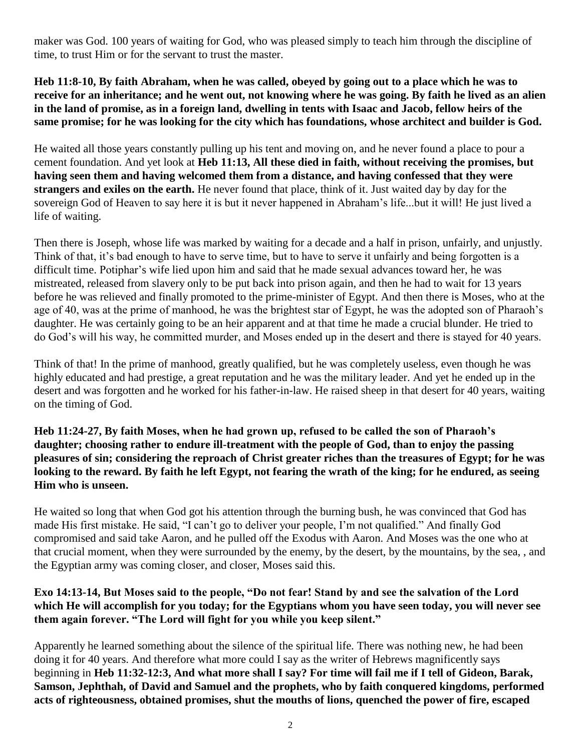maker was God. 100 years of waiting for God, who was pleased simply to teach him through the discipline of time, to trust Him or for the servant to trust the master.

**Heb 11:8-10, By faith Abraham, when he was called, obeyed by going out to a place which he was to receive for an inheritance; and he went out, not knowing where he was going. By faith he lived as an alien in the land of promise, as in a foreign land, dwelling in tents with Isaac and Jacob, fellow heirs of the same promise; for he was looking for the city which has foundations, whose architect and builder is God.**

He waited all those years constantly pulling up his tent and moving on, and he never found a place to pour a cement foundation. And yet look at **Heb 11:13, All these died in faith, without receiving the promises, but having seen them and having welcomed them from a distance, and having confessed that they were strangers and exiles on the earth.** He never found that place, think of it. Just waited day by day for the sovereign God of Heaven to say here it is but it never happened in Abraham's life...but it will! He just lived a life of waiting.

Then there is Joseph, whose life was marked by waiting for a decade and a half in prison, unfairly, and unjustly. Think of that, it's bad enough to have to serve time, but to have to serve it unfairly and being forgotten is a difficult time. Potiphar's wife lied upon him and said that he made sexual advances toward her, he was mistreated, released from slavery only to be put back into prison again, and then he had to wait for 13 years before he was relieved and finally promoted to the prime-minister of Egypt. And then there is Moses, who at the age of 40, was at the prime of manhood, he was the brightest star of Egypt, he was the adopted son of Pharaoh's daughter. He was certainly going to be an heir apparent and at that time he made a crucial blunder. He tried to do God's will his way, he committed murder, and Moses ended up in the desert and there is stayed for 40 years.

Think of that! In the prime of manhood, greatly qualified, but he was completely useless, even though he was highly educated and had prestige, a great reputation and he was the military leader. And yet he ended up in the desert and was forgotten and he worked for his father-in-law. He raised sheep in that desert for 40 years, waiting on the timing of God.

**Heb 11:24-27, By faith Moses, when he had grown up, refused to be called the son of Pharaoh's daughter; choosing rather to endure ill-treatment with the people of God, than to enjoy the passing pleasures of sin; considering the reproach of Christ greater riches than the treasures of Egypt; for he was looking to the reward. By faith he left Egypt, not fearing the wrath of the king; for he endured, as seeing Him who is unseen.**

He waited so long that when God got his attention through the burning bush, he was convinced that God has made His first mistake. He said, "I can't go to deliver your people, I'm not qualified." And finally God compromised and said take Aaron, and he pulled off the Exodus with Aaron. And Moses was the one who at that crucial moment, when they were surrounded by the enemy, by the desert, by the mountains, by the sea, , and the Egyptian army was coming closer, and closer, Moses said this.

# **Exo 14:13-14, But Moses said to the people, "Do not fear! Stand by and see the salvation of the Lord which He will accomplish for you today; for the Egyptians whom you have seen today, you will never see them again forever. "The Lord will fight for you while you keep silent."**

Apparently he learned something about the silence of the spiritual life. There was nothing new, he had been doing it for 40 years. And therefore what more could I say as the writer of Hebrews magnificently says beginning in **Heb 11:32-12:3, And what more shall I say? For time will fail me if I tell of Gideon, Barak, Samson, Jephthah, of David and Samuel and the prophets, who by faith conquered kingdoms, performed acts of righteousness, obtained promises, shut the mouths of lions, quenched the power of fire, escaped**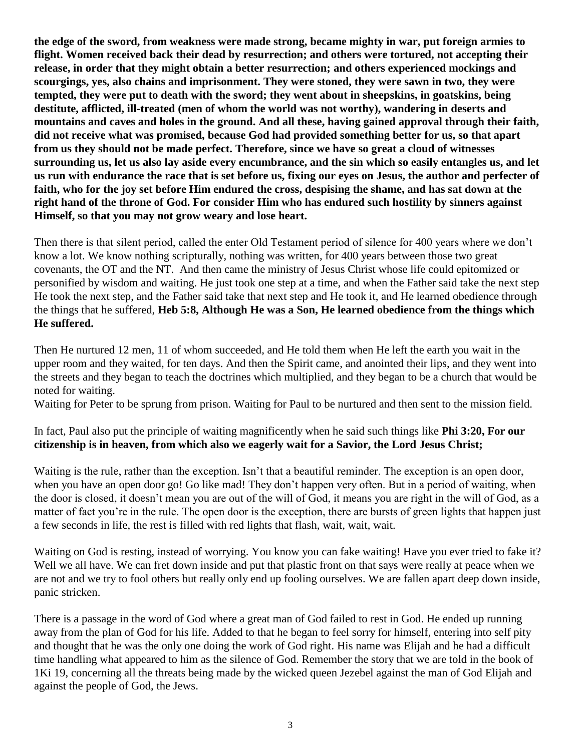**the edge of the sword, from weakness were made strong, became mighty in war, put foreign armies to flight. Women received back their dead by resurrection; and others were tortured, not accepting their release, in order that they might obtain a better resurrection; and others experienced mockings and scourgings, yes, also chains and imprisonment. They were stoned, they were sawn in two, they were tempted, they were put to death with the sword; they went about in sheepskins, in goatskins, being destitute, afflicted, ill-treated (men of whom the world was not worthy), wandering in deserts and mountains and caves and holes in the ground. And all these, having gained approval through their faith, did not receive what was promised, because God had provided something better for us, so that apart from us they should not be made perfect. Therefore, since we have so great a cloud of witnesses surrounding us, let us also lay aside every encumbrance, and the sin which so easily entangles us, and let us run with endurance the race that is set before us, fixing our eyes on Jesus, the author and perfecter of faith, who for the joy set before Him endured the cross, despising the shame, and has sat down at the right hand of the throne of God. For consider Him who has endured such hostility by sinners against Himself, so that you may not grow weary and lose heart.**

Then there is that silent period, called the enter Old Testament period of silence for 400 years where we don't know a lot. We know nothing scripturally, nothing was written, for 400 years between those two great covenants, the OT and the NT. And then came the ministry of Jesus Christ whose life could epitomized or personified by wisdom and waiting. He just took one step at a time, and when the Father said take the next step He took the next step, and the Father said take that next step and He took it, and He learned obedience through the things that he suffered, **Heb 5:8, Although He was a Son, He learned obedience from the things which He suffered.**

Then He nurtured 12 men, 11 of whom succeeded, and He told them when He left the earth you wait in the upper room and they waited, for ten days. And then the Spirit came, and anointed their lips, and they went into the streets and they began to teach the doctrines which multiplied, and they began to be a church that would be noted for waiting.

Waiting for Peter to be sprung from prison. Waiting for Paul to be nurtured and then sent to the mission field.

In fact, Paul also put the principle of waiting magnificently when he said such things like **Phi 3:20, For our citizenship is in heaven, from which also we eagerly wait for a Savior, the Lord Jesus Christ;**

Waiting is the rule, rather than the exception. Isn't that a beautiful reminder. The exception is an open door, when you have an open door go! Go like mad! They don't happen very often. But in a period of waiting, when the door is closed, it doesn't mean you are out of the will of God, it means you are right in the will of God, as a matter of fact you're in the rule. The open door is the exception, there are bursts of green lights that happen just a few seconds in life, the rest is filled with red lights that flash, wait, wait, wait.

Waiting on God is resting, instead of worrying. You know you can fake waiting! Have you ever tried to fake it? Well we all have. We can fret down inside and put that plastic front on that says were really at peace when we are not and we try to fool others but really only end up fooling ourselves. We are fallen apart deep down inside, panic stricken.

There is a passage in the word of God where a great man of God failed to rest in God. He ended up running away from the plan of God for his life. Added to that he began to feel sorry for himself, entering into self pity and thought that he was the only one doing the work of God right. His name was Elijah and he had a difficult time handling what appeared to him as the silence of God. Remember the story that we are told in the book of 1Ki 19, concerning all the threats being made by the wicked queen Jezebel against the man of God Elijah and against the people of God, the Jews.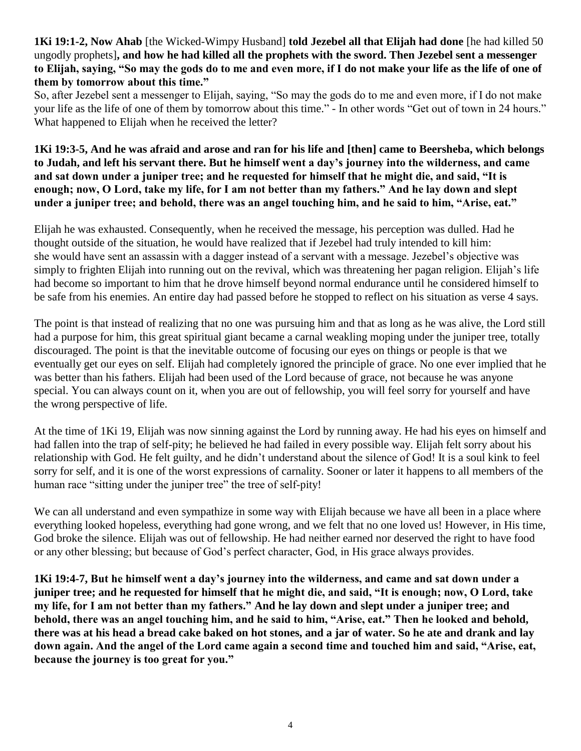# **1Ki 19:1-2, Now Ahab** [the Wicked-Wimpy Husband] **told Jezebel all that Elijah had done** [he had killed 50 ungodly prophets]**, and how he had killed all the prophets with the sword. Then Jezebel sent a messenger to Elijah, saying, "So may the gods do to me and even more, if I do not make your life as the life of one of them by tomorrow about this time."**

So, after Jezebel sent a messenger to Elijah, saying, "So may the gods do to me and even more, if I do not make your life as the life of one of them by tomorrow about this time." - In other words "Get out of town in 24 hours." What happened to Elijah when he received the letter?

# **1Ki 19:3-5, And he was afraid and arose and ran for his life and [then] came to Beersheba, which belongs to Judah, and left his servant there. But he himself went a day's journey into the wilderness, and came and sat down under a juniper tree; and he requested for himself that he might die, and said, "It is enough; now, O Lord, take my life, for I am not better than my fathers." And he lay down and slept under a juniper tree; and behold, there was an angel touching him, and he said to him, "Arise, eat."**

Elijah he was exhausted. Consequently, when he received the message, his perception was dulled. Had he thought outside of the situation, he would have realized that if Jezebel had truly intended to kill him: she would have sent an assassin with a dagger instead of a servant with a message. Jezebel's objective was simply to frighten Elijah into running out on the revival, which was threatening her pagan religion. Elijah's life had become so important to him that he drove himself beyond normal endurance until he considered himself to be safe from his enemies. An entire day had passed before he stopped to reflect on his situation as verse 4 says.

The point is that instead of realizing that no one was pursuing him and that as long as he was alive, the Lord still had a purpose for him, this great spiritual giant became a carnal weakling moping under the juniper tree, totally discouraged. The point is that the inevitable outcome of focusing our eyes on things or people is that we eventually get our eyes on self. Elijah had completely ignored the principle of grace. No one ever implied that he was better than his fathers. Elijah had been used of the Lord because of grace, not because he was anyone special. You can always count on it, when you are out of fellowship, you will feel sorry for yourself and have the wrong perspective of life.

At the time of 1Ki 19, Elijah was now sinning against the Lord by running away. He had his eyes on himself and had fallen into the trap of self-pity; he believed he had failed in every possible way. Elijah felt sorry about his relationship with God. He felt guilty, and he didn't understand about the silence of God! It is a soul kink to feel sorry for self, and it is one of the worst expressions of carnality. Sooner or later it happens to all members of the human race "sitting under the juniper tree" the tree of self-pity!

We can all understand and even sympathize in some way with Elijah because we have all been in a place where everything looked hopeless, everything had gone wrong, and we felt that no one loved us! However, in His time, God broke the silence. Elijah was out of fellowship. He had neither earned nor deserved the right to have food or any other blessing; but because of God's perfect character, God, in His grace always provides.

**1Ki 19:4-7, But he himself went a day's journey into the wilderness, and came and sat down under a juniper tree; and he requested for himself that he might die, and said, "It is enough; now, O Lord, take my life, for I am not better than my fathers." And he lay down and slept under a juniper tree; and behold, there was an angel touching him, and he said to him, "Arise, eat." Then he looked and behold, there was at his head a bread cake baked on hot stones, and a jar of water. So he ate and drank and lay down again. And the angel of the Lord came again a second time and touched him and said, "Arise, eat, because the journey is too great for you."**